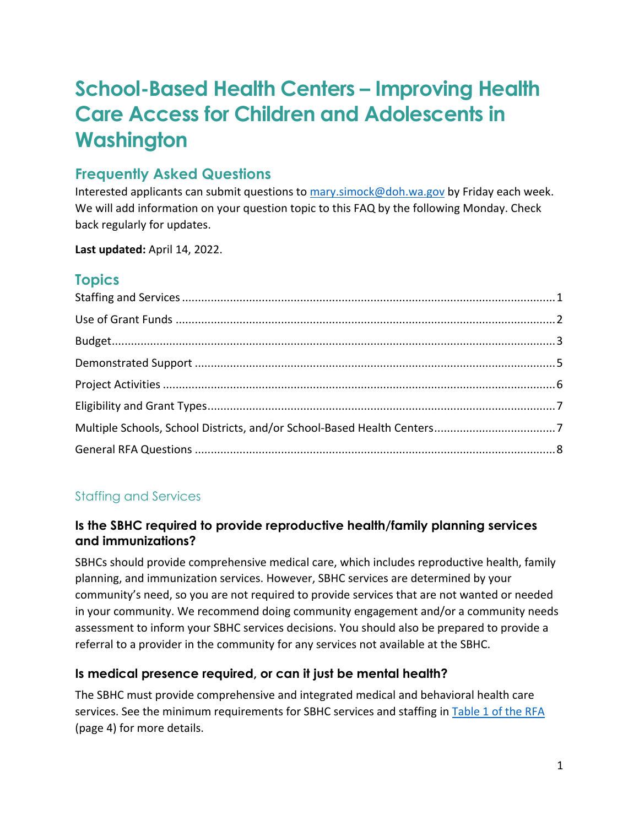# **School-Based Health Centers – Improving Health Care Access for Children and Adolescents in Washington**

# **Frequently Asked Questions**

Interested applicants can submit questions to [mary.simock@doh.wa.gov](mailto:mary.simock@doh.wa.gov) by Friday each week. We will add information on your question topic to this FAQ by the following Monday. Check back regularly for updates.

**Last updated:** April 14, 2022.

# **Topics**

# <span id="page-0-0"></span>Staffing and Services

# **Is the SBHC required to provide reproductive health/family planning services and immunizations?**

SBHCs should provide comprehensive medical care, which includes reproductive health, family planning, and immunization services. However, SBHC services are determined by your community's need, so you are not required to provide services that are not wanted or needed in your community. We recommend doing community engagement and/or a community needs assessment to inform your SBHC services decisions. You should also be prepared to provide a referral to a provider in the community for any services not available at the SBHC.

# **Is medical presence required, or can it just be mental health?**

The SBHC must provide comprehensive and integrated medical and behavioral health care services. See the minimum requirements for SBHC services and staffing in [Table 1 of the RFA](https://waportal.org/sites/default/files/documents/RequestForApplications_WADOHSBHC_Final.pdf) (page 4) for more details.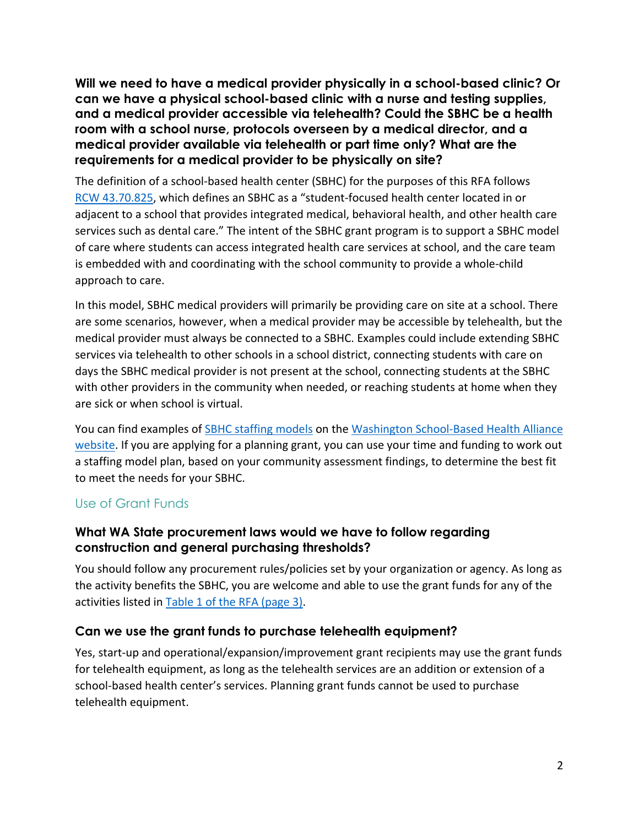**Will we need to have a medical provider physically in a school-based clinic? Or can we have a physical school-based clinic with a nurse and testing supplies, and a medical provider accessible via telehealth? Could the SBHC be a health room with a school nurse, protocols overseen by a medical director, and a medical provider available via telehealth or part time only? What are the requirements for a medical provider to be physically on site?** 

The definition of a school-based health center (SBHC) for the purposes of this RFA follows RCW [43.70.825,](https://app.leg.wa.gov/RCW/default.aspx?cite=43.70.825&msclkid=7015a16cab9911ec8376a0b5840cf0a0) which defines an SBHC as a "student-focused health center located in or adjacent to a school that provides integrated medical, behavioral health, and other health care services such as dental care." The intent of the SBHC grant program is to support a SBHC model of care where students can access integrated health care services at school, and the care team is embedded with and coordinating with the school community to provide a whole-child approach to care.

In this model, SBHC medical providers will primarily be providing care on site at a school. There are some scenarios, however, when a medical provider may be accessible by telehealth, but the medical provider must always be connected to a SBHC. Examples could include extending SBHC services via telehealth to other schools in a school district, connecting students with care on days the SBHC medical provider is not present at the school, connecting students at the SBHC with other providers in the community when needed, or reaching students at home when they are sick or when school is virtual.

You can find examples of [SBHC staffing models](https://wasbha.org/wp-content/uploads/2022/02/Toolkit-Staffing.pdf) on the [Washington School-Based Health Alliance](https://wasbha.org/)  [website.](https://wasbha.org/) If you are applying for a planning grant, you can use your time and funding to work out a staffing model plan, based on your community assessment findings, to determine the best fit to meet the needs for your SBHC.

#### <span id="page-1-0"></span>Use of Grant Funds

#### **What WA State procurement laws would we have to follow regarding construction and general purchasing thresholds?**

You should follow any procurement rules/policies set by your organization or agency. As long as the activity benefits the SBHC, you are welcome and able to use the grant funds for any of the activities listed in [Table 1 of the RFA \(page 3\).](https://waportal.org/sites/default/files/documents/RequestForApplications_WADOHSBHC_Final.pdf)

#### **Can we use the grant funds to purchase telehealth equipment?**

Yes, start-up and operational/expansion/improvement grant recipients may use the grant funds for telehealth equipment, as long as the telehealth services are an addition or extension of a school-based health center's services. Planning grant funds cannot be used to purchase telehealth equipment.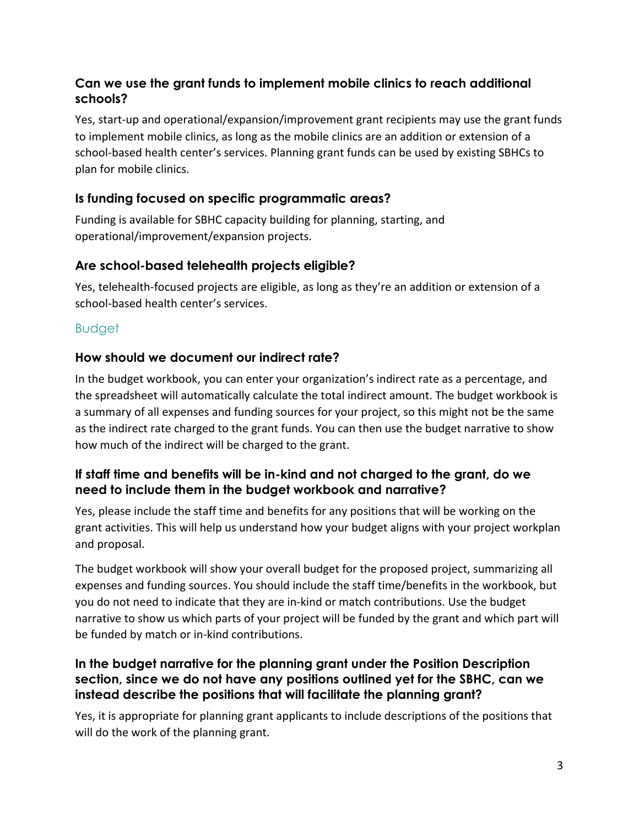## **Can we use the grant funds to implement mobile clinics to reach additional schools?**

Yes, start-up and operational/expansion/improvement grant recipients may use the grant funds to implement mobile clinics, as long as the mobile clinics are an addition or extension of a school-based health center's services. Planning grant funds can be used by existing SBHCs to plan for mobile clinics.

## **Is funding focused on specific programmatic areas?**

Funding is available for SBHC capacity building for planning, starting, and operational/improvement/expansion projects.

## **Are school-based telehealth projects eligible?**

Yes, telehealth-focused projects are eligible, as long as they're an addition or extension of a school-based health center's services.

## <span id="page-2-0"></span>Budget

## **How should we document our indirect rate?**

In the budget workbook, you can enter your organization's indirect rate as a percentage, and the spreadsheet will automatically calculate the total indirect amount. The budget workbook is a summary of all expenses and funding sources for your project, so this might not be the same as the indirect rate charged to the grant funds. You can then use the budget narrative to show how much of the indirect will be charged to the grant.

## **If staff time and benefits will be in-kind and not charged to the grant, do we need to include them in the budget workbook and narrative?**

Yes, please include the staff time and benefits for any positions that will be working on the grant activities. This will help us understand how your budget aligns with your project workplan and proposal.

The budget workbook will show your overall budget for the proposed project, summarizing all expenses and funding sources. You should include the staff time/benefits in the workbook, but you do not need to indicate that they are in-kind or match contributions. Use the budget narrative to show us which parts of your project will be funded by the grant and which part will be funded by match or in-kind contributions.

#### **In the budget narrative for the planning grant under the Position Description section, since we do not have any positions outlined yet for the SBHC, can we instead describe the positions that will facilitate the planning grant?**

Yes, it is appropriate for planning grant applicants to include descriptions of the positions that will do the work of the planning grant.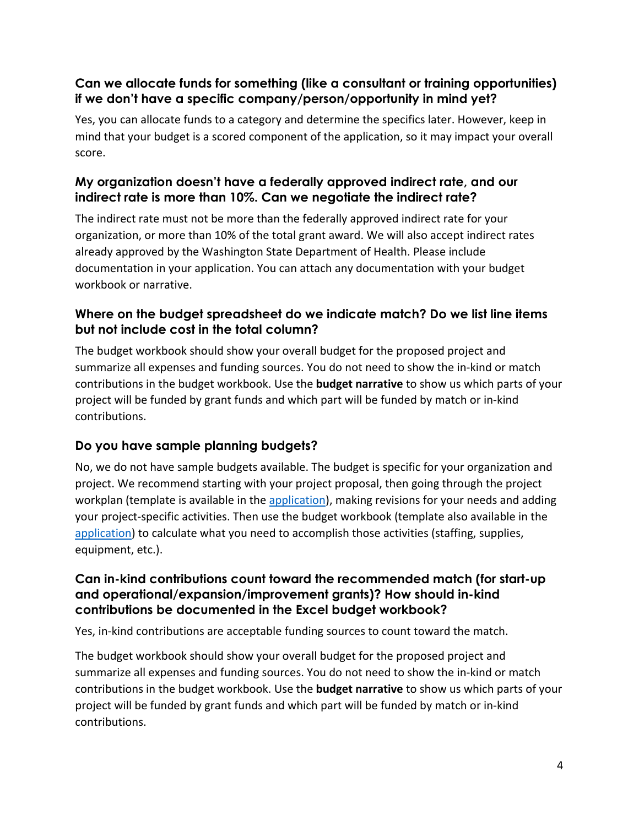# **Can we allocate funds for something (like a consultant or training opportunities) if we don't have a specific company/person/opportunity in mind yet?**

Yes, you can allocate funds to a category and determine the specifics later. However, keep in mind that your budget is a scored component of the application, so it may impact your overall score.

## **My organization doesn't have a federally approved indirect rate, and our indirect rate is more than 10%. Can we negotiate the indirect rate?**

The indirect rate must not be more than the federally approved indirect rate for your organization, or more than 10% of the total grant award. We will also accept indirect rates already approved by the Washington State Department of Health. Please include documentation in your application. You can attach any documentation with your budget workbook or narrative.

# **Where on the budget spreadsheet do we indicate match? Do we list line items but not include cost in the total column?**

The budget workbook should show your overall budget for the proposed project and summarize all expenses and funding sources. You do not need to show the in-kind or match contributions in the budget workbook. Use the **budget narrative** to show us which parts of your project will be funded by grant funds and which part will be funded by match or in-kind contributions.

# **Do you have sample planning budgets?**

No, we do not have sample budgets available. The budget is specific for your organization and project. We recommend starting with your project proposal, then going through the project workplan (template is available in the [application\)](https://redcap.doh.wa.gov/surveys/?s=43L38MYTE9), making revisions for your needs and adding your project-specific activities. Then use the budget workbook (template also available in the [application\)](https://redcap.doh.wa.gov/surveys/?s=43L38MYTE9) to calculate what you need to accomplish those activities (staffing, supplies, equipment, etc.).

#### **Can in-kind contributions count toward the recommended match (for start-up and operational/expansion/improvement grants)? How should in-kind contributions be documented in the Excel budget workbook?**

Yes, in-kind contributions are acceptable funding sources to count toward the match.

The budget workbook should show your overall budget for the proposed project and summarize all expenses and funding sources. You do not need to show the in-kind or match contributions in the budget workbook. Use the **budget narrative** to show us which parts of your project will be funded by grant funds and which part will be funded by match or in-kind contributions.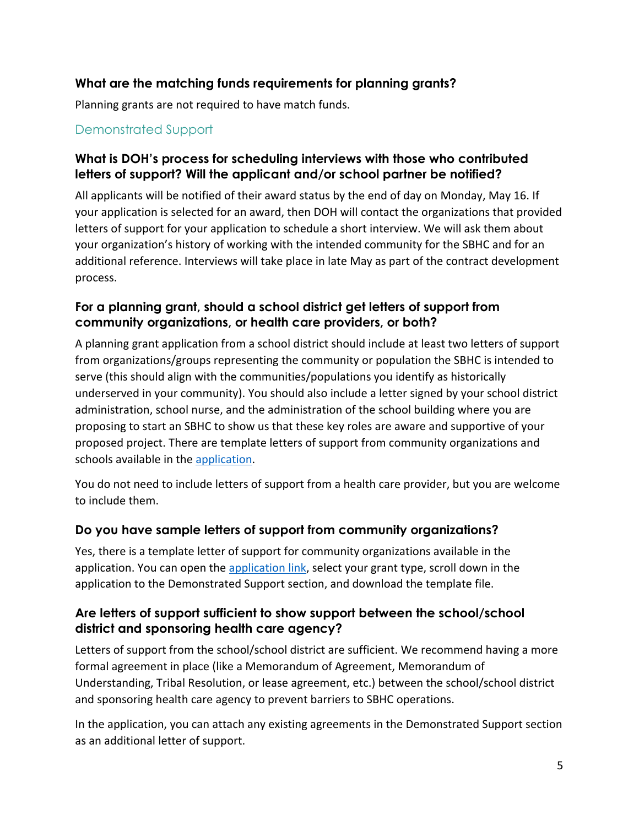## **What are the matching funds requirements for planning grants?**

Planning grants are not required to have match funds.

## <span id="page-4-0"></span>Demonstrated Support

#### **What is DOH's process for scheduling interviews with those who contributed letters of support? Will the applicant and/or school partner be notified?**

All applicants will be notified of their award status by the end of day on Monday, May 16. If your application is selected for an award, then DOH will contact the organizations that provided letters of support for your application to schedule a short interview. We will ask them about your organization's history of working with the intended community for the SBHC and for an additional reference. Interviews will take place in late May as part of the contract development process.

#### **For a planning grant, should a school district get letters of support from community organizations, or health care providers, or both?**

A planning grant application from a school district should include at least two letters of support from organizations/groups representing the community or population the SBHC is intended to serve (this should align with the communities/populations you identify as historically underserved in your community). You should also include a letter signed by your school district administration, school nurse, and the administration of the school building where you are proposing to start an SBHC to show us that these key roles are aware and supportive of your proposed project. There are template letters of support from community organizations and schools available in the [application.](https://redcap.doh.wa.gov/surveys/?s=43L38MYTE9)

You do not need to include letters of support from a health care provider, but you are welcome to include them.

#### **Do you have sample letters of support from community organizations?**

Yes, there is a template letter of support for community organizations available in the application. You can open the [application link,](https://redcap.doh.wa.gov/surveys/?s=43L38MYTE9) select your grant type, scroll down in the application to the Demonstrated Support section, and download the template file.

#### **Are letters of support sufficient to show support between the school/school district and sponsoring health care agency?**

Letters of support from the school/school district are sufficient. We recommend having a more formal agreement in place (like a Memorandum of Agreement, Memorandum of Understanding, Tribal Resolution, or lease agreement, etc.) between the school/school district and sponsoring health care agency to prevent barriers to SBHC operations.

In the application, you can attach any existing agreements in the Demonstrated Support section as an additional letter of support.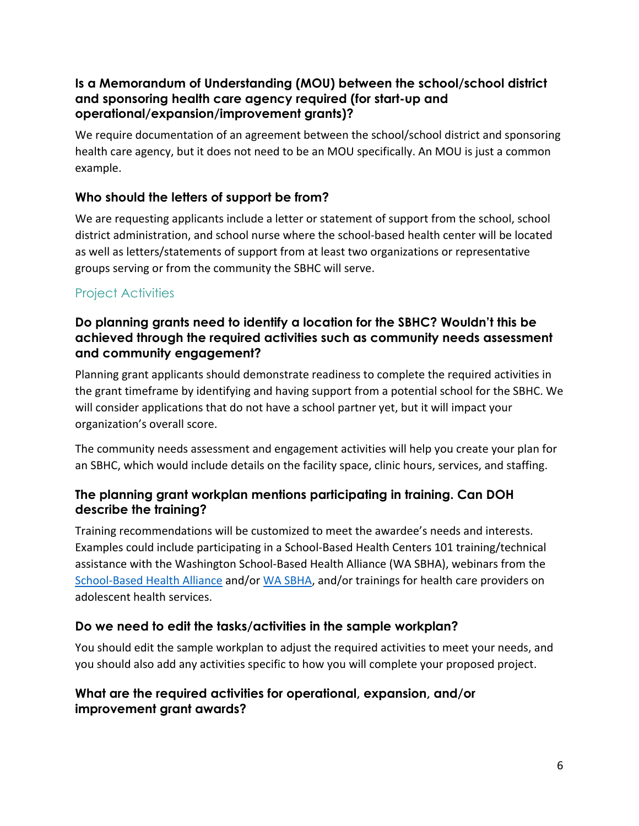#### **Is a Memorandum of Understanding (MOU) between the school/school district and sponsoring health care agency required (for start-up and operational/expansion/improvement grants)?**

We require documentation of an agreement between the school/school district and sponsoring health care agency, but it does not need to be an MOU specifically. An MOU is just a common example.

# **Who should the letters of support be from?**

We are requesting applicants include a letter or statement of support from the school, school district administration, and school nurse where the school-based health center will be located as well as letters/statements of support from at least two organizations or representative groups serving or from the community the SBHC will serve.

# <span id="page-5-0"></span>Project Activities

#### **Do planning grants need to identify a location for the SBHC? Wouldn't this be achieved through the required activities such as community needs assessment and community engagement?**

Planning grant applicants should demonstrate readiness to complete the required activities in the grant timeframe by identifying and having support from a potential school for the SBHC. We will consider applications that do not have a school partner yet, but it will impact your organization's overall score.

The community needs assessment and engagement activities will help you create your plan for an SBHC, which would include details on the facility space, clinic hours, services, and staffing.

## **The planning grant workplan mentions participating in training. Can DOH describe the training?**

Training recommendations will be customized to meet the awardee's needs and interests. Examples could include participating in a School-Based Health Centers 101 training/technical assistance with the Washington School-Based Health Alliance (WA SBHA), webinars from the [School-Based Health Alliance](https://www.sbh4all.org/what-we-do/services/training/webinars/webinar-archive/) and/or [WA SBHA,](https://wasbha.org/webinar-archive/) and/or trainings for health care providers on adolescent health services.

# **Do we need to edit the tasks/activities in the sample workplan?**

You should edit the sample workplan to adjust the required activities to meet your needs, and you should also add any activities specific to how you will complete your proposed project.

## **What are the required activities for operational, expansion, and/or improvement grant awards?**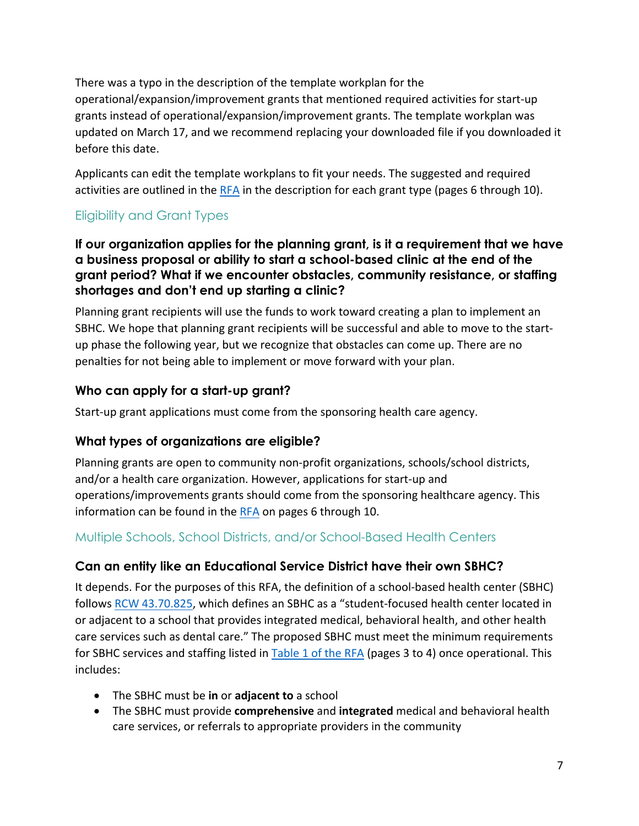There was a typo in the description of the template workplan for the operational/expansion/improvement grants that mentioned required activities for start-up grants instead of operational/expansion/improvement grants. The template workplan was updated on March 17, and we recommend replacing your downloaded file if you downloaded it before this date.

Applicants can edit the template workplans to fit your needs. The suggested and required activities are outlined in the [RFA](https://waportal.org/sites/default/files/documents/RequestForApplications_WADOHSBHC_Final.pdf) in the description for each grant type (pages 6 through 10).

# <span id="page-6-0"></span>Eligibility and Grant Types

#### **If our organization applies for the planning grant, is it a requirement that we have a business proposal or ability to start a school-based clinic at the end of the grant period? What if we encounter obstacles, community resistance, or staffing shortages and don't end up starting a clinic?**

Planning grant recipients will use the funds to work toward creating a plan to implement an SBHC. We hope that planning grant recipients will be successful and able to move to the startup phase the following year, but we recognize that obstacles can come up. There are no penalties for not being able to implement or move forward with your plan.

## **Who can apply for a start-up grant?**

Start-up grant applications must come from the sponsoring health care agency.

# **What types of organizations are eligible?**

Planning grants are open to community non-profit organizations, schools/school districts, and/or a health care organization. However, applications for start-up and operations/improvements grants should come from the sponsoring healthcare agency. This information can be found in the  $RFA$  on pages 6 through 10.

# <span id="page-6-1"></span>Multiple Schools, School Districts, and/or School-Based Health Centers

#### **Can an entity like an Educational Service District have their own SBHC?**

It depends. For the purposes of this RFA, the definition of a school-based health center (SBHC) follows RCW [43.70.825,](https://app.leg.wa.gov/RCW/default.aspx?cite=43.70.825&msclkid=7015a16cab9911ec8376a0b5840cf0a0) which defines an SBHC as a "student-focused health center located in or adjacent to a school that provides integrated medical, behavioral health, and other health care services such as dental care." The proposed SBHC must meet the minimum requirements for SBHC services and staffing listed in [Table 1 of the RFA](https://waportal.org/sites/default/files/documents/RequestForApplications_WADOHSBHC_Final.pdf) (pages 3 to 4) once operational. This includes:

- The SBHC must be **in** or **adjacent to** a school
- The SBHC must provide **comprehensive** and **integrated** medical and behavioral health care services, or referrals to appropriate providers in the community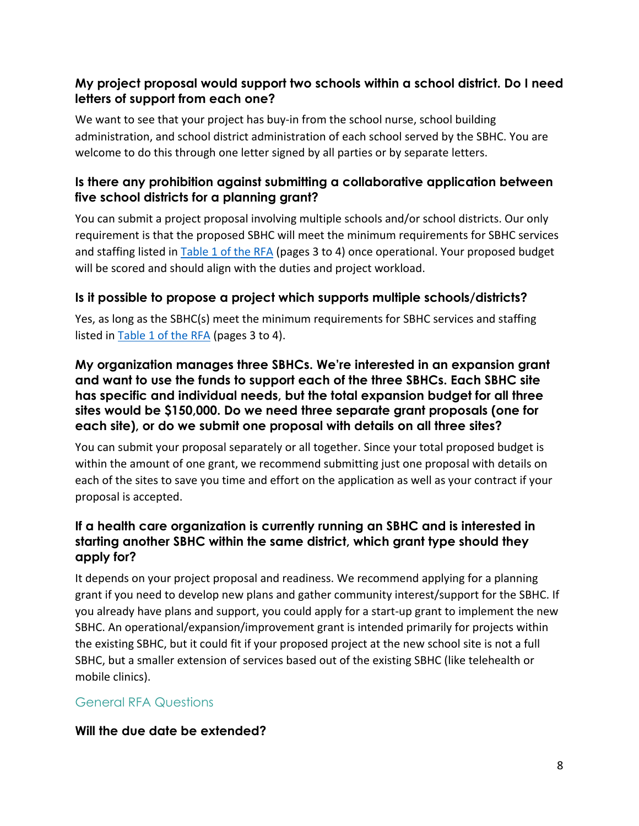# **My project proposal would support two schools within a school district. Do I need letters of support from each one?**

We want to see that your project has buy-in from the school nurse, school building administration, and school district administration of each school served by the SBHC. You are welcome to do this through one letter signed by all parties or by separate letters.

#### **Is there any prohibition against submitting a collaborative application between five school districts for a planning grant?**

You can submit a project proposal involving multiple schools and/or school districts. Our only requirement is that the proposed SBHC will meet the minimum requirements for SBHC services and staffing listed in [Table 1 of the RFA](https://waportal.org/sites/default/files/documents/RequestForApplications_WADOHSBHC_Final.pdf) (pages 3 to 4) once operational. Your proposed budget will be scored and should align with the duties and project workload.

#### **Is it possible to propose a project which supports multiple schools/districts?**

Yes, as long as the SBHC(s) meet the minimum requirements for SBHC services and staffing listed in [Table 1 of the RFA](https://waportal.org/sites/default/files/documents/RequestForApplications_WADOHSBHC_Final.pdf) (pages 3 to 4).

#### **My organization manages three SBHCs. We're interested in an expansion grant and want to use the funds to support each of the three SBHCs. Each SBHC site has specific and individual needs, but the total expansion budget for all three sites would be \$150,000. Do we need three separate grant proposals (one for each site), or do we submit one proposal with details on all three sites?**

You can submit your proposal separately or all together. Since your total proposed budget is within the amount of one grant, we recommend submitting just one proposal with details on each of the sites to save you time and effort on the application as well as your contract if your proposal is accepted.

## **If a health care organization is currently running an SBHC and is interested in starting another SBHC within the same district, which grant type should they apply for?**

It depends on your project proposal and readiness. We recommend applying for a planning grant if you need to develop new plans and gather community interest/support for the SBHC. If you already have plans and support, you could apply for a start-up grant to implement the new SBHC. An operational/expansion/improvement grant is intended primarily for projects within the existing SBHC, but it could fit if your proposed project at the new school site is not a full SBHC, but a smaller extension of services based out of the existing SBHC (like telehealth or mobile clinics).

#### <span id="page-7-0"></span>General RFA Questions

#### **Will the due date be extended?**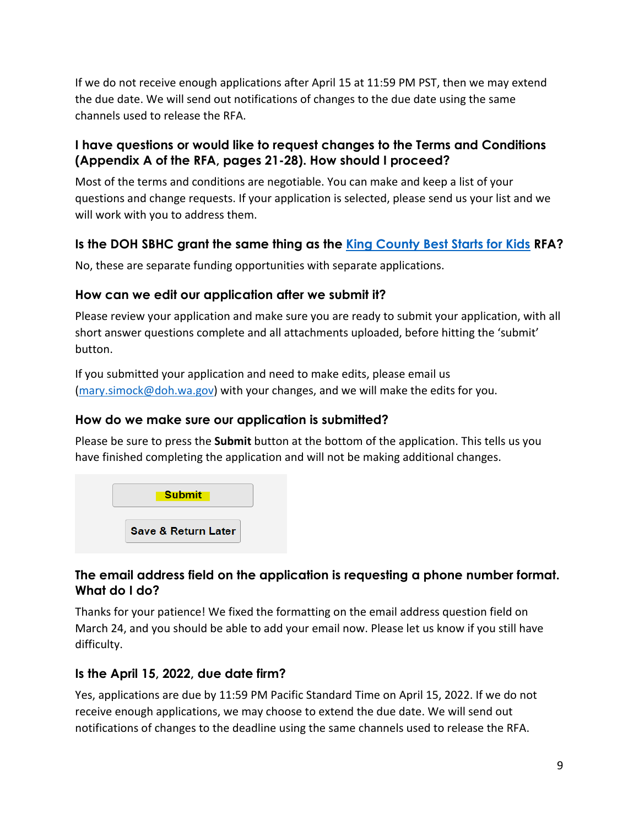If we do not receive enough applications after April 15 at 11:59 PM PST, then we may extend the due date. We will send out notifications of changes to the due date using the same channels used to release the RFA.

## **I have questions or would like to request changes to the Terms and Conditions (Appendix A of the RFA, pages 21-28). How should I proceed?**

Most of the terms and conditions are negotiable. You can make and keep a list of your questions and change requests. If your application is selected, please send us your list and we will work with you to address them.

# **Is the DOH SBHC grant the same thing as the [King County Best Starts for Kids](https://kingcounty.gov/depts/health/partnerships/funding/SBHC.aspx) RFA?**

No, these are separate funding opportunities with separate applications.

## **How can we edit our application after we submit it?**

Please review your application and make sure you are ready to submit your application, with all short answer questions complete and all attachments uploaded, before hitting the 'submit' button.

If you submitted your application and need to make edits, please email us [\(mary.simock@doh.wa.gov\)](mailto:mary.simock@doh.wa.gov) with your changes, and we will make the edits for you.

## **How do we make sure our application is submitted?**

Please be sure to press the **Submit** button at the bottom of the application. This tells us you have finished completing the application and will not be making additional changes.



## **The email address field on the application is requesting a phone number format. What do I do?**

Thanks for your patience! We fixed the formatting on the email address question field on March 24, and you should be able to add your email now. Please let us know if you still have difficulty.

# **Is the April 15, 2022, due date firm?**

Yes, applications are due by 11:59 PM Pacific Standard Time on April 15, 2022. If we do not receive enough applications, we may choose to extend the due date. We will send out notifications of changes to the deadline using the same channels used to release the RFA.